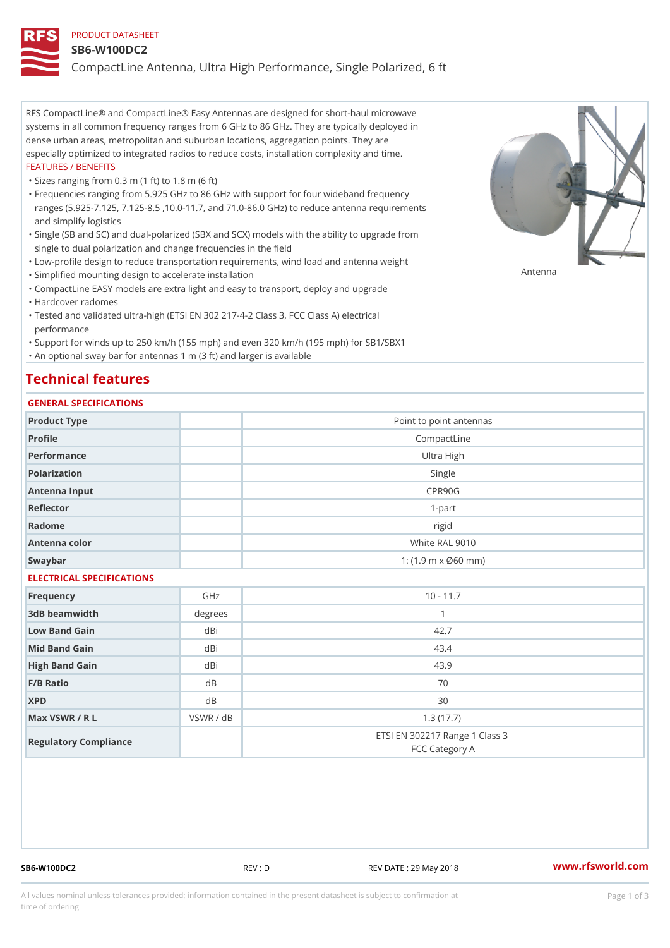## PRODUCT DATASHEET

#### SB6-W100DC2

CompactLine Antenna, Ultra High Performance, Single Polarized, 6 ft

RFS CompactLine® and CompactLine® Easy Antennas are designed for short-haul microwave systems in all common frequency ranges from 6 GHz to 86 GHz. They are typically deployed in dense urban areas, metropolitan and suburban locations, aggregation points. They are especially optimized to integrated radios to reduce costs, installation complexity and time. FEATURES / BENEFITS

"Sizes ranging from 0.3 m (1 ft) to 1.8 m (6 ft)

- Frequencies ranging from 5.925 GHz to 86 GHz with support for four wideband frequency " ranges (5.925-7.125, 7.125-8.5 ,10.0-11.7, and 71.0-86.0 GHz) to reduce antenna requirements and simplify logistics
- Single (SB and SC) and dual-polarized (SBX and SCX) models with the ability to upgrade from " single to dual polarization and change frequencies in the field
- "Low-profile design to reduce transportation requirements, wind load and antenna weight
- "Simplified mounting design to accelerate installation

 "CompactLine EASY models are extra light and easy to transport, deploy and upgrade "Hardcover radomes

Tested and validated ultra-high (ETSI EN 302 217-4-2 Class 3, FCC Class A) electrical " performance

 "Support for winds up to 250 km/h (155 mph) and even 320 km/h (195 mph) for SB1/SBX1 "An optional sway bar for antennas 1 m (3 ft) and larger is available

# Technical features

# GENERAL SPECIFICATIONS

| GENERAL SPECIFICATIONS    |           |                                                  |  |  |
|---------------------------|-----------|--------------------------------------------------|--|--|
| Product Type              |           | Point to point antennas                          |  |  |
| Profile                   |           | CompactLine                                      |  |  |
| Performance               |           | Ultra High                                       |  |  |
| Polarization              |           | Single                                           |  |  |
| Antenna Input             |           | CPR90G                                           |  |  |
| Reflector                 |           | $1 - p$ art                                      |  |  |
| Radome                    |           | rigid                                            |  |  |
| Antenna color             |           | White RAL 9010                                   |  |  |
| Swaybar                   |           | 1: $(1.9 \, m \times 060 \, mm)$                 |  |  |
| ELECTRICAL SPECIFICATIONS |           |                                                  |  |  |
| Frequency                 | GHz       | $10 - 11.7$                                      |  |  |
| 3dB beamwidth             | degrees   | $\mathbf{1}$                                     |  |  |
| Low Band Gain             | $dB$ i    | 42.7                                             |  |  |
| Mid Band Gain             | dBi       | 43.4                                             |  |  |
| High Band Gain            | dBi       | 43.9                                             |  |  |
| F/B Ratio                 | d B       | 70                                               |  |  |
| <b>XPD</b>                | d B       | 30                                               |  |  |
| Max VSWR / R L            | VSWR / dB | 1.3(17.7)                                        |  |  |
| Regulatory Compliance     |           | ETSI EN 302217 Range 1 Class 3<br>FCC Category A |  |  |

SB6-W100DC2 REV : D REV DATE : 29 May 2018 [www.](https://www.rfsworld.com)rfsworld.com

Antenna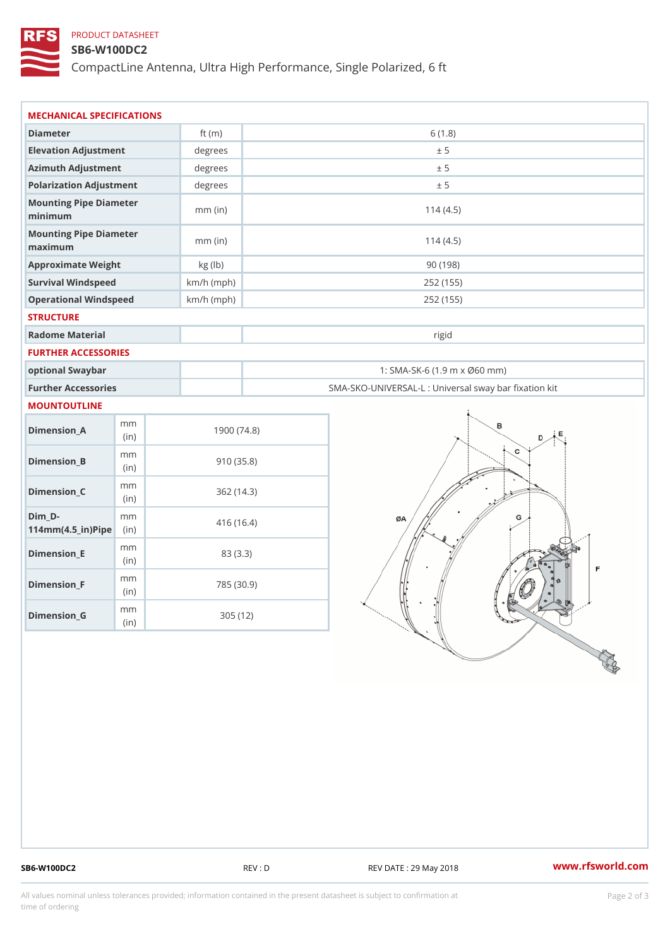# PRODUCT DATASHEET

## SB6-W100DC2

CompactLine Antenna, Ultra High Performance, Single Polarized, 6 ft

| MECHANICAL SPECIFICATIONS                                                      |              |                                                   |
|--------------------------------------------------------------------------------|--------------|---------------------------------------------------|
| Diameter                                                                       | ft $(m)$     | 6(1.8)                                            |
| Elevation Adjustment                                                           | degrees      | ± 5                                               |
| Azimuth Adjustment                                                             | degrees      | ± 5                                               |
| Polarization Adjustment                                                        | degrees      | ± 5                                               |
| Mounting Pipe Diameter<br>minimum                                              | $mm$ (in)    | 114(4.5)                                          |
| Mounting Pipe Diameter<br>maximum                                              | $mm$ (in)    | 114(4.5)                                          |
| Approximate Weight                                                             | kg (lb)      | 90(198)                                           |
| Survival Windspeed                                                             | $km/h$ (mph) | 252 (155)                                         |
| Operational Windspeed                                                          | $km/h$ (mph) | 252 (155)                                         |
| <b>STRUCTURE</b>                                                               |              |                                                   |
| Radome Material                                                                |              | rigid                                             |
| FURTHER ACCESSORIES                                                            |              |                                                   |
| optional Swaybar                                                               |              | 1: SMA-SK-6 (1.9 m x Ø60 mm)                      |
| Further Accessories                                                            |              | SMA-SKO-UNIVERSAL-L : Universal sway bar fixation |
| MOUNTOUTLINE                                                                   |              |                                                   |
| m m<br>$Dimension_A$<br>(in)                                                   | 1900(74.8)   |                                                   |
| m m<br>$Dimension_B$<br>(in)                                                   | 910(35.8)    |                                                   |
| m m<br>$Dimension_C$<br>(in)                                                   | 362(14.3)    |                                                   |
| $Dim_D - D -$<br>m m<br>$114$ m m (4.5 _ ir ) $\sqrt{$ ii p $\sqrt{$ $\approx$ | 416 (16.4)   |                                                   |
| m m<br>$Dimension$ = E<br>(in)                                                 | 83 (3.3)     |                                                   |
| m m<br>Dimension_F<br>(i n)                                                    | 785 (30.9)   |                                                   |
|                                                                                | 305(12)      |                                                   |

SB6-W100DC2 REV : D REV CORTE : 29 May 2018 WWW.rfsworld.com